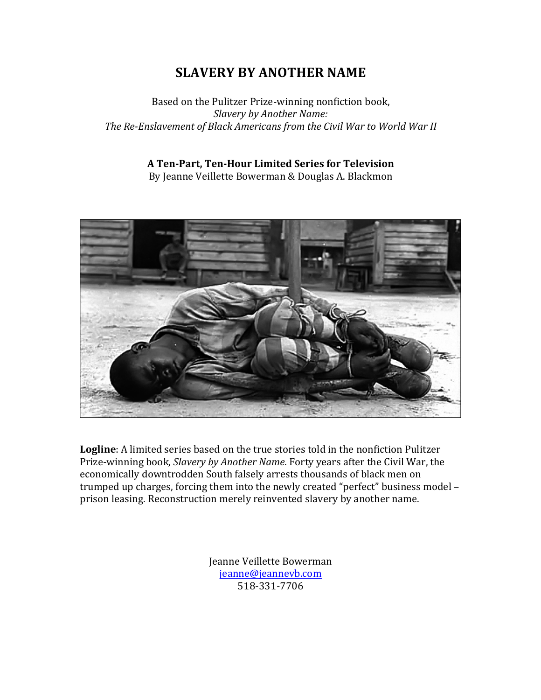## **SLAVERY BY ANOTHER NAME**

Based on the Pulitzer Prize-winning nonfiction book, *Slavery by Another Name:* The Re-Enslavement of Black Americans from the Civil War to World War II

## **A Ten-Part, Ten-Hour Limited Series for Television**

By Jeanne Veillette Bowerman & Douglas A. Blackmon



**Logline**: A limited series based on the true stories told in the nonfiction Pulitzer Prize-winning book, *Slavery by Another Name*. Forty years after the Civil War, the economically downtrodden South falsely arrests thousands of black men on trumped up charges, forcing them into the newly created "perfect" business model prison leasing. Reconstruction merely reinvented slavery by another name.

> Jeanne Veillette Bowerman jeanne@jeannevb.com 518-331-7706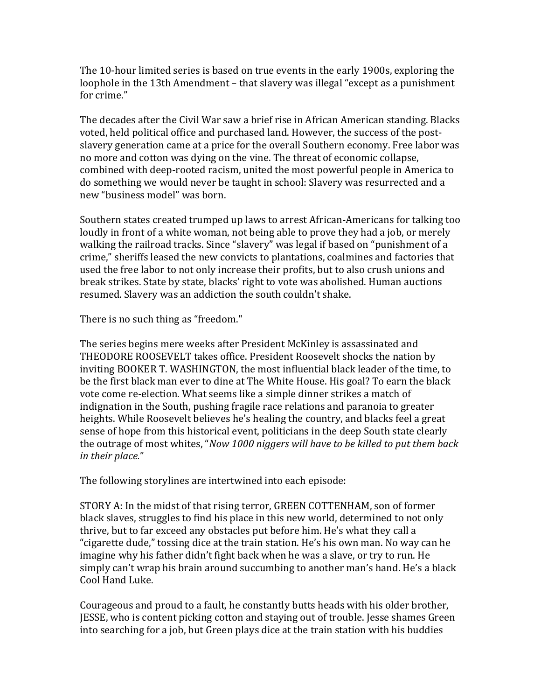The 10-hour limited series is based on true events in the early 1900s, exploring the loophole in the 13th Amendment – that slavery was illegal "except as a punishment for crime."

The decades after the Civil War saw a brief rise in African American standing. Blacks voted, held political office and purchased land. However, the success of the postslavery generation came at a price for the overall Southern economy. Free labor was no more and cotton was dying on the vine. The threat of economic collapse, combined with deep-rooted racism, united the most powerful people in America to do something we would never be taught in school: Slavery was resurrected and a new "business model" was born.

Southern states created trumped up laws to arrest African-Americans for talking too loudly in front of a white woman, not being able to prove they had a job, or merely walking the railroad tracks. Since "slavery" was legal if based on "punishment of a crime," sheriffs leased the new convicts to plantations, coalmines and factories that used the free labor to not only increase their profits, but to also crush unions and break strikes. State by state, blacks' right to vote was abolished. Human auctions resumed. Slavery was an addiction the south couldn't shake.

There is no such thing as "freedom."

The series begins mere weeks after President McKinley is assassinated and THEODORE ROOSEVELT takes office. President Roosevelt shocks the nation by inviting BOOKER T. WASHINGTON, the most influential black leader of the time, to be the first black man ever to dine at The White House. His goal? To earn the black vote come re-election. What seems like a simple dinner strikes a match of indignation in the South, pushing fragile race relations and paranoia to greater heights. While Roosevelt believes he's healing the country, and blacks feel a great sense of hope from this historical event, politicians in the deep South state clearly the outrage of most whites, "*Now 1000 niggers will have to be killed to put them back in their place.*"

The following storylines are intertwined into each episode:

STORY A: In the midst of that rising terror, GREEN COTTENHAM, son of former black slaves, struggles to find his place in this new world, determined to not only thrive, but to far exceed any obstacles put before him. He's what they call a "cigarette dude," tossing dice at the train station. He's his own man. No way can he imagine why his father didn't fight back when he was a slave, or try to run. He simply can't wrap his brain around succumbing to another man's hand. He's a black Cool Hand Luke.

Courageous and proud to a fault, he constantly butts heads with his older brother, JESSE, who is content picking cotton and staying out of trouble. Jesse shames Green into searching for a job, but Green plays dice at the train station with his buddies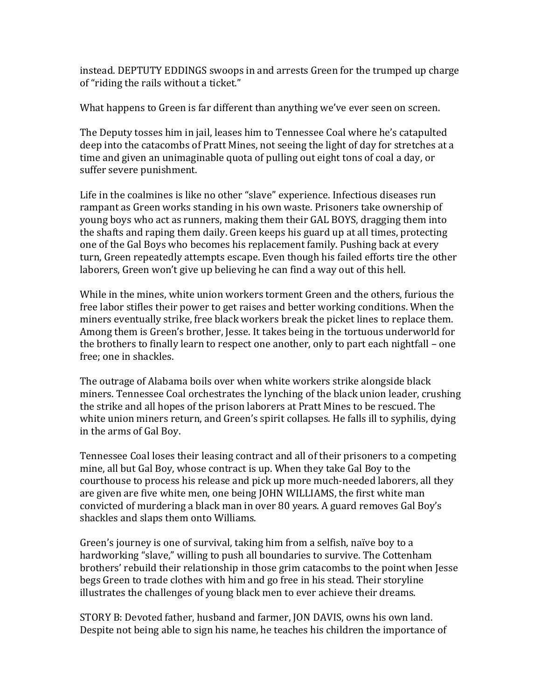instead. DEPTUTY EDDINGS swoops in and arrests Green for the trumped up charge of "riding the rails without a ticket."

What happens to Green is far different than anything we've ever seen on screen.

The Deputy tosses him in jail, leases him to Tennessee Coal where he's catapulted deep into the catacombs of Pratt Mines, not seeing the light of day for stretches at a time and given an unimaginable quota of pulling out eight tons of coal a day, or suffer severe punishment.

Life in the coalmines is like no other "slave" experience. Infectious diseases run rampant as Green works standing in his own waste. Prisoners take ownership of young boys who act as runners, making them their GAL BOYS, dragging them into the shafts and raping them daily. Green keeps his guard up at all times, protecting one of the Gal Boys who becomes his replacement family. Pushing back at every turn, Green repeatedly attempts escape. Even though his failed efforts tire the other laborers, Green won't give up believing he can find a way out of this hell.

While in the mines, white union workers torment Green and the others, furious the free labor stifles their power to get raises and better working conditions. When the miners eventually strike, free black workers break the picket lines to replace them. Among them is Green's brother, Jesse. It takes being in the tortuous underworld for the brothers to finally learn to respect one another, only to part each nightfall – one free: one in shackles.

The outrage of Alabama boils over when white workers strike alongside black miners. Tennessee Coal orchestrates the lynching of the black union leader, crushing the strike and all hopes of the prison laborers at Pratt Mines to be rescued. The white union miners return, and Green's spirit collapses. He falls ill to syphilis, dying in the arms of Gal Boy.

Tennessee Coal loses their leasing contract and all of their prisoners to a competing mine, all but Gal Boy, whose contract is up. When they take Gal Boy to the courthouse to process his release and pick up more much-needed laborers, all they are given are five white men, one being JOHN WILLIAMS, the first white man convicted of murdering a black man in over 80 years. A guard removes Gal Boy's shackles and slaps them onto Williams.

Green's journey is one of survival, taking him from a selfish, naïve boy to a hardworking "slave," willing to push all boundaries to survive. The Cottenham brothers' rebuild their relationship in those grim catacombs to the point when Jesse begs Green to trade clothes with him and go free in his stead. Their storyline illustrates the challenges of young black men to ever achieve their dreams.

STORY B: Devoted father, husband and farmer, JON DAVIS, owns his own land. Despite not being able to sign his name, he teaches his children the importance of